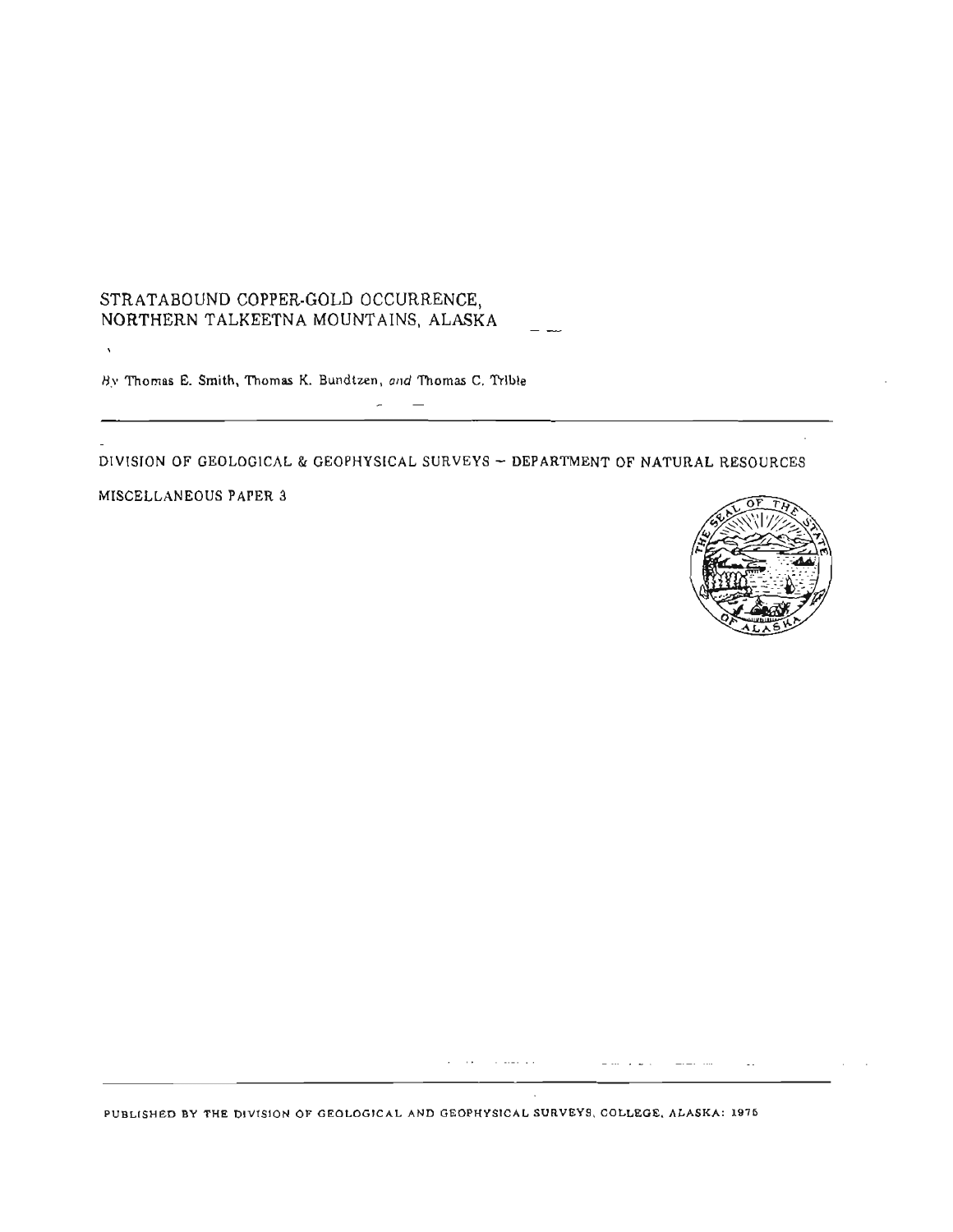# STRATABOUND COPPER-GOLD OCCURREN<mark>CE,</mark><br>NORTHERN TALKEETNA MOUNTAINS, ALASKA -------

**8.v Thomas E.** Smith, Thomas **K. Bundlzen, ot~d** Thomas **C. 'l'rlble** 

**DIVISION OF GEOLOGlCAL** & **GEOPHYSLCAL SURVEYS** - **DEPARTMENT OF NATURAL RESOURCES** 

 $\overline{\phantom{0}}$ 

 $\sim$ 

**MISCELLANEOUS PAPER 3** 

 $\bar{\mathbf{v}}$ 



 $\dots \dots$ 

**PUBLISHED BY THE DIVISION 01: GEOLOGICAL AND GEOPHYSlCAL SURVEYS. COLLEGE, ALASKA: 1976** 

المنها وسيفارض المناول والمناور

 $\Delta$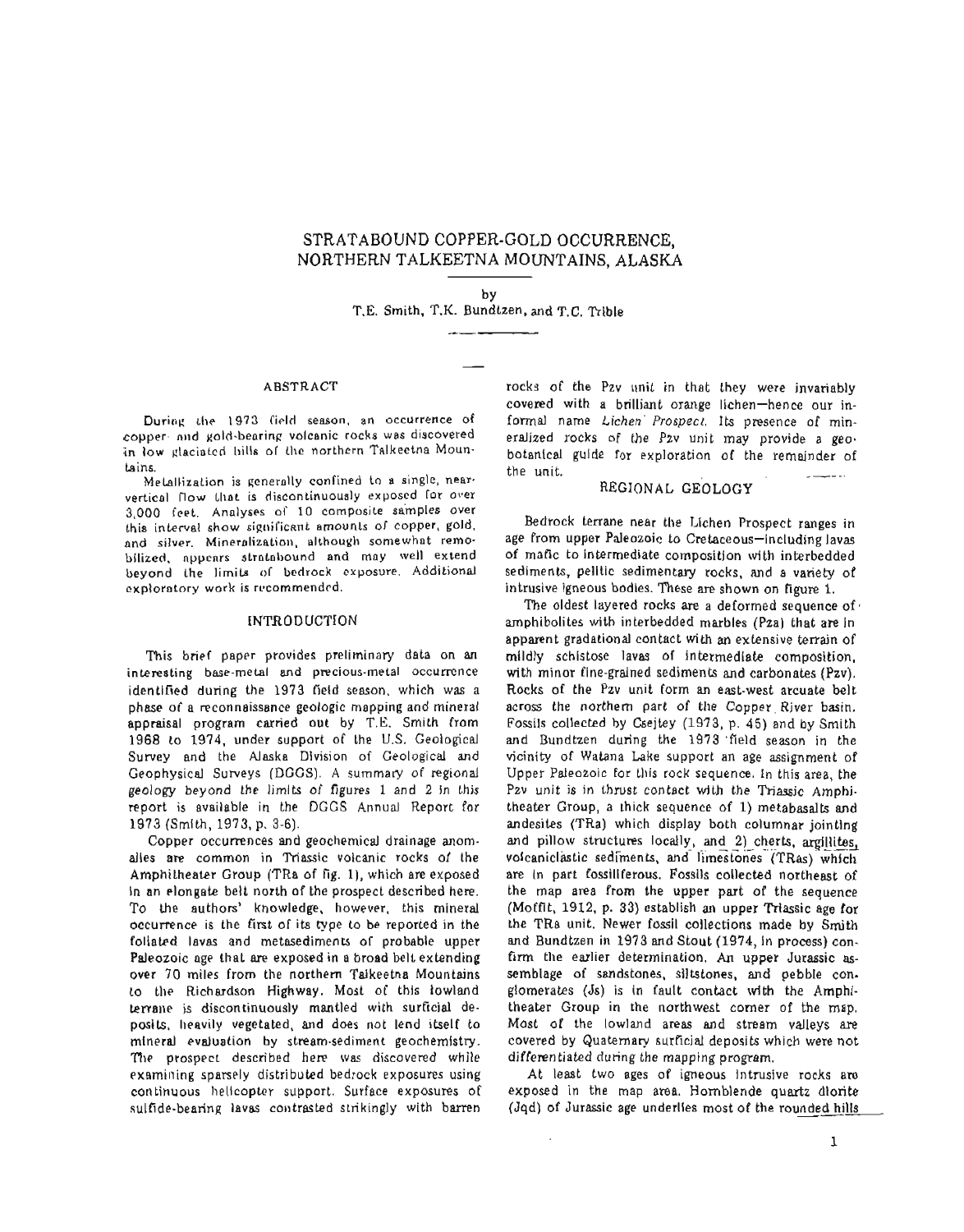# **STRATABOUND** COPPER-GOLD OCCURRENCE, NORTHERN TALKEETNA MOUNTAINS, **ALASKA**

**by**  T.E. Smith, T.K. Bundlzen, and T.C. Tctble

#### **ABSTRACT**

Durin~ **tlre** 1973 **Cicld** season. **an** occurrence **of**  copper- and gold-bearing volcanic rocks was discovered in low glaciated hills of the northern Talkeetna Mountains.

Metallization is generally confined to a single, nearvertical flow Ihnt **is** discantinuously exposed **Ior over**  3,000 **feel.** Analyses **of** 10 **composite sainples over this** interval **show sigrlil'iclmt** amounts of copper, gold, **and** silver. Mineralization, **although somewhnt remo**bilized, **npycnrs** ~traLol>ound **and may** well **extend beyond** Ihe **limila ol bcdrock** exposure. Additional exploratory work is recommended.

#### INTRODUCTION

This **brief** paper provides preliminary data on an **inkresting** base-metal and **pmcious-metal** occurrence identified **during** the 1973 field season, **which was** a phsse of a reconnaissance geologic **mapping and** mineral appraisal program carried **out by T.E. Smith** [rom 1968 to 1974, under support of the U.S. Geological **Survey** and the **Alaska** Division of Geological and Geophysical Surveys (DCGS). **A** summary of regional geology beyond the limlts of **figures** 1 and 2 In lhjs report is available in the DGGS Annual Report for 1973 (Smith, 1973, p. 3-6).

Copper occurrences **and** geochemical drainage anomalies are common in **Triassic** volcanic rocks of **the**  Amphitheater Group (TRa of fig. l), which are exposed In an **elongate** belt north of the prospect described here. To the authors' knowledge, however, this mineral occurrence is the first of its type lo be reported in the foliated lavas and metasediments of probable upper Paleozoic age **that are** exposed in a broad bell extending over 70 miles from the northern Taikeetna Mountains to tlre Richardson Highway. Most of this lowland **~erralle is** discontinuously mantled **with surficial de**posits, heavily vegetated, and does not lend itself to **mineral** evatuation by stream-sediment geochemistry. **The** prospect described here **mas** discovered while examining sparsely distributed bedrock exposures using continuous helicopter support. Surface exposures of sulfide-bearing lavas contrasted strikingly with barren

rocks of the Pzv **unit** in that they were invariably covered with a brilliant orange lichen-hence our informal name Lichen Prospect. Its presence of mineralized rocks of the Pzv unit **may** provide a **geo**botanical **gulde** for exploration **of the** remainder of the unit.

# **REGIONAL GEOLOGY**

Bedrock **terrane** near the LIchen Prospect ranges **in**  age from upper Paleozoic to Cretaceous-including lavas of maflc to Intermediate cornpositlon \vi **th** inkrbedded sediments, pelltic sedimentary **rocks,** and a variety of intrusive igneous bodles. These **are** shown on **figure 1.** 

The oldest layered rocks are a deformed sequence of amphibolites with interbedded marbles (Pza) that are In apparent gradational con tact with an exknsive **terrain** of rnlldly schlstose lavas of intermediate composition, with **minor** fine-gralned sediments and carbonates (Pzv). Rocks of the Pzv unit form an east-west arcuate belt across the northern part of **the** Copper. River basin. Fossils collected by **Csejtey** (197 **3, p.** 4 5) and by Smith and Bundtzen during the **1973** 'field season in the **vicinity** of Watana **Lake** support an age **assignment** of Upper Paleozoic €or **this** rock **sequence.** In this area, the **Pzv** unit **is** in thrust contact wlth the **Triassjc Amphi**theater Group, a thick sequence of **1)** metabasalts and andesites **(TRa)** which display both columnar jointing and pillow structures locally, and 2) cherts, argillites, volcaniclastic sediments, and limestones (TRas) which are in part fossillferous. Fossils collected northeast of the **map** area Prom the upper part of **the** sequence (Mofflt, **1912,** p. 33) establish **ar** upper Triassic **age** for the TRa unit. **Newer** fossil collections made **by** Smith **and** Bundtzen in **1973** and Stout (1974, in **process)** confirm the earlier determination. An upper Jurassic assemblage of sandstones, siltstones, and pebbIe conglomerates **(Js)** is **in** fault contact with the Amphitheater Group **in** the northwest comer of the map. **Most** of the lowland areas **and** stream valleys **are**  covered **by** Quaternary surficial deposits which **were** not differentiated during the mapping program.

**At least** two ages of igneous Intrusive rocks **am**  exposed in the **map** area. Hornblende **quartz dlorite**  (Jqd) of Jurassic age underlies most of the rounded hills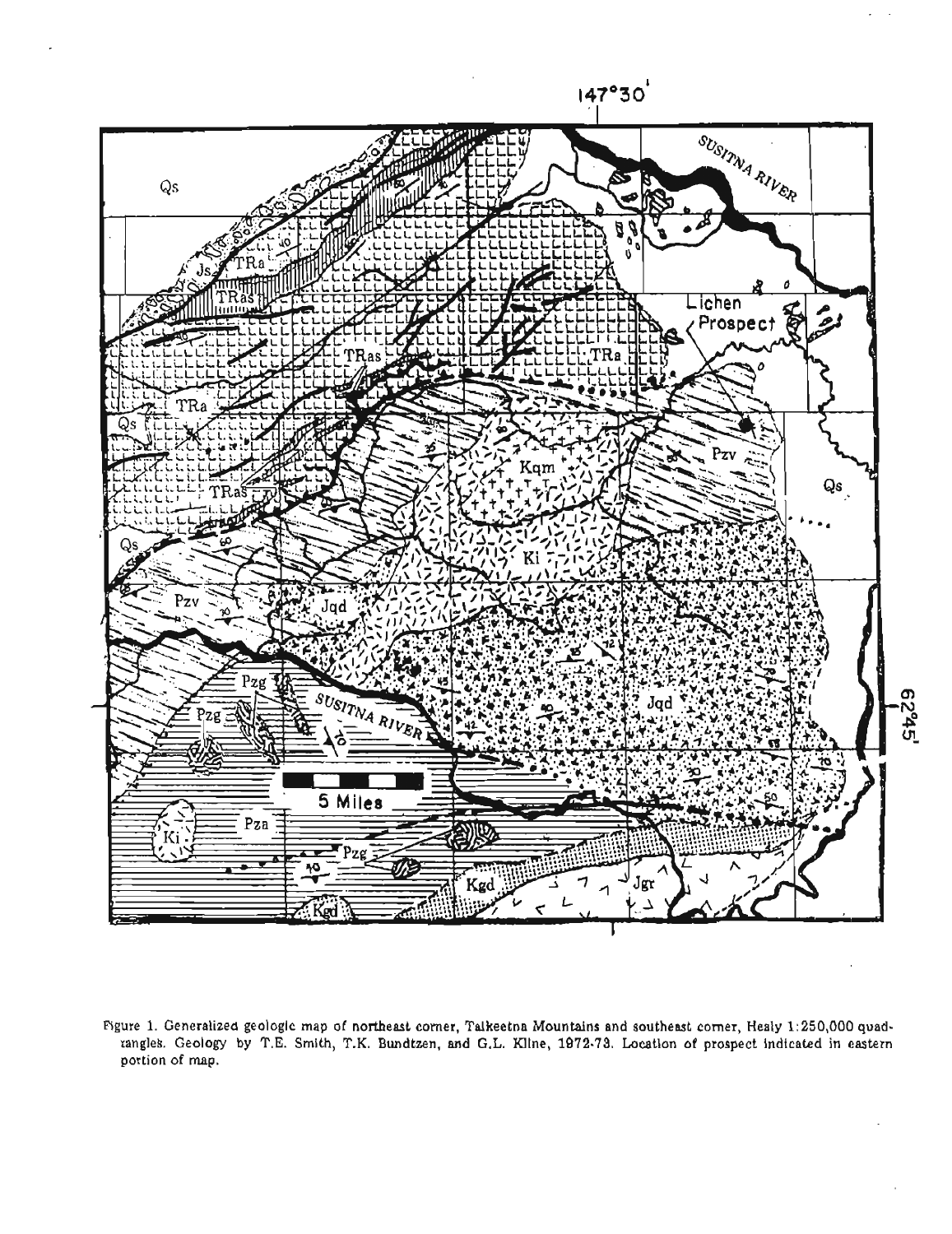

**Rgure** 1. **Generalized geologlc map of northeast comer, Talkeetna Mountains and southeast comer, Healy 1:250,000 quadranglek. Geology by T.E. Smlth, T.K. Eundtzen, and** G.L. **Kltne, 1972.79, hcatlon of prospect** lndtcated **in eastern portion of map.**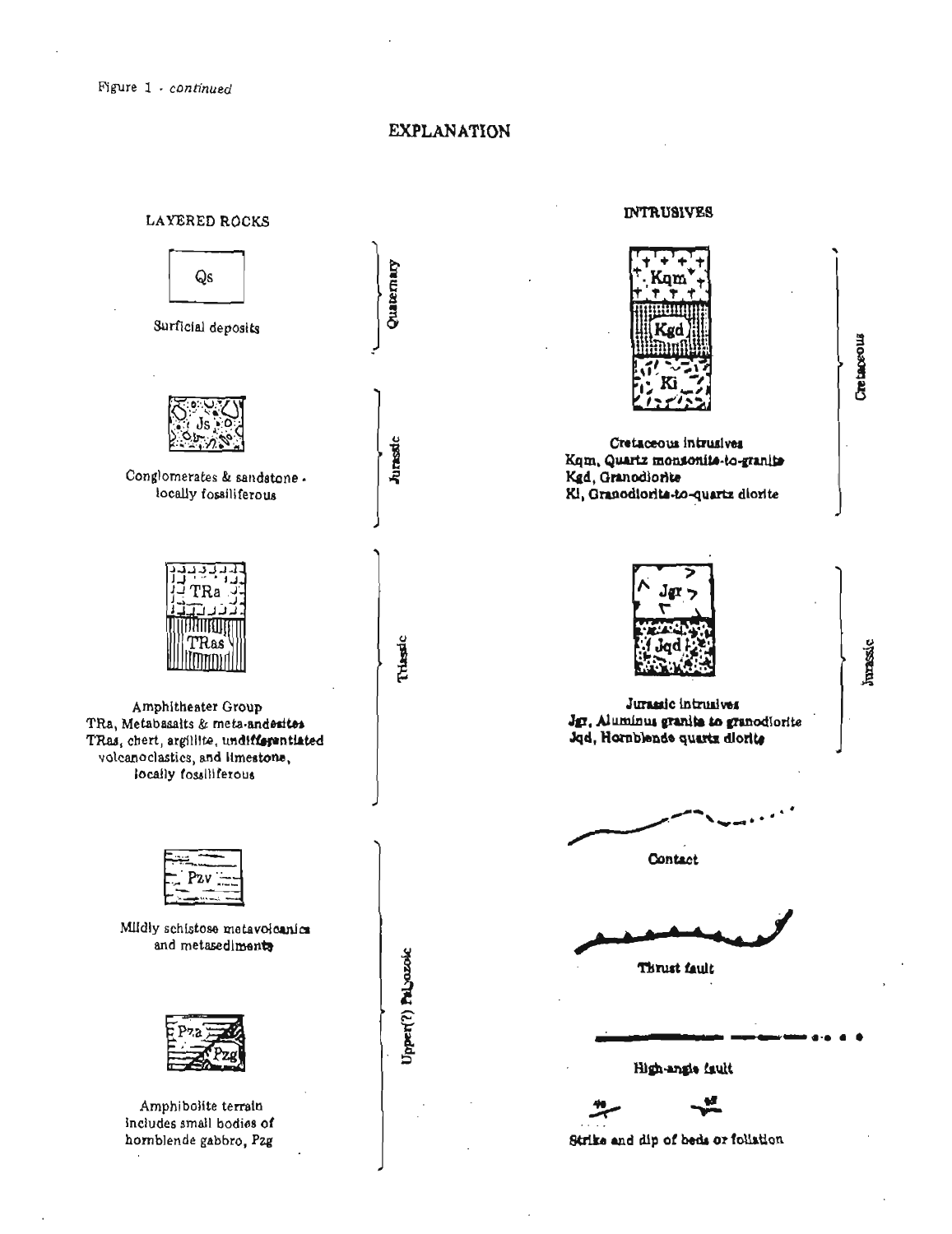# **EXPLANATION**



# **INTRUSIVES**



**Christenes** 

**Junassic** 

Cretaceous intrusives Kqm, Quartz monsonito-to-granito Kgd, Granodiorite Kl, Granodiorita-to-quartz diorite



Jurantic intrusives Jgr, Aluminus granita to granodiorite Jqd, Hornblende quartz diorite

Contact

Thrust fault

High-angle fault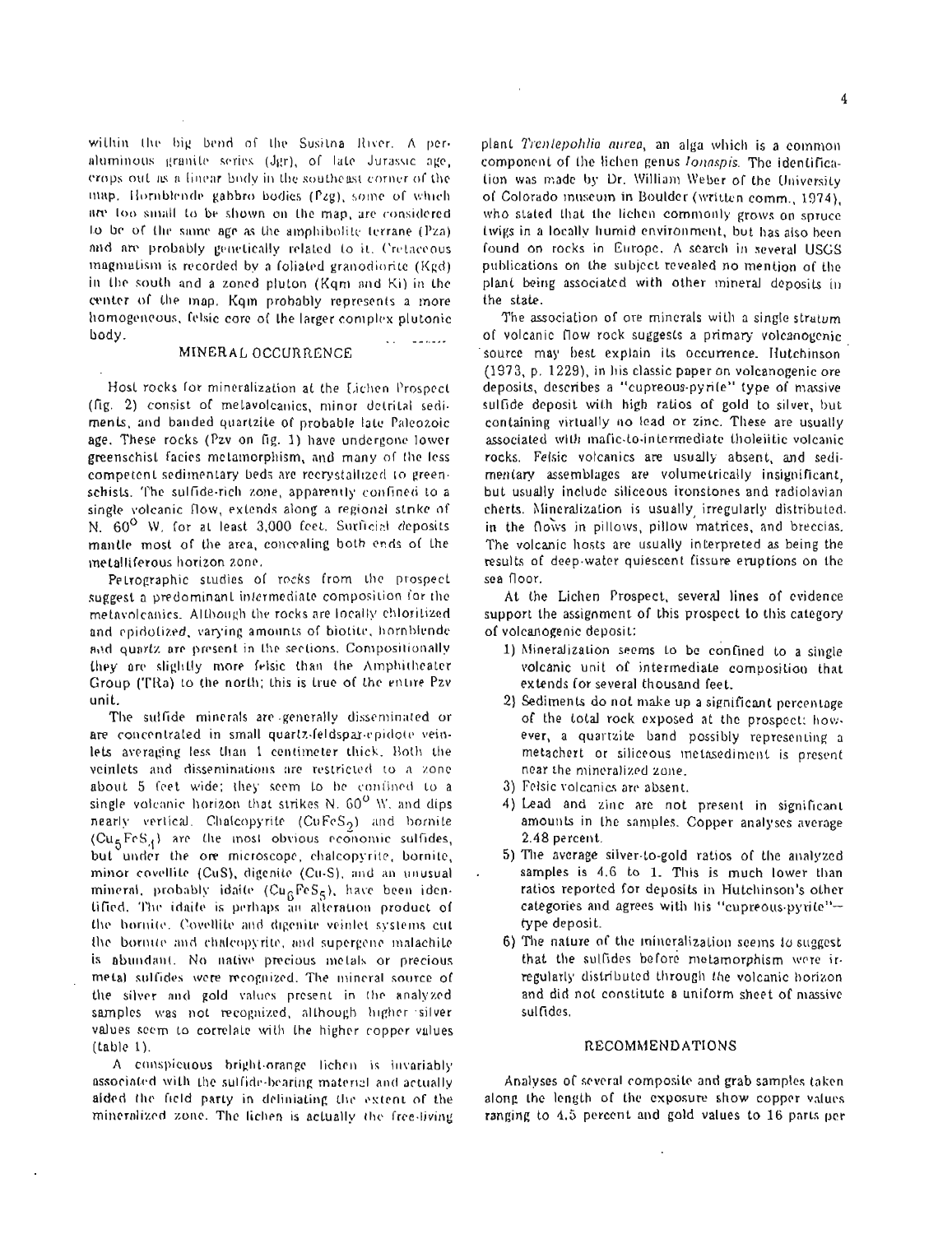within the big bend of the Susitna River. A peraluminous granite series (Jgr), of late Jurassic age, erops out as a linear body in the southeast corner of the map. Hornblende gabbro bodies (Pzg), some of which are too small to be shown on the map, are considered to be of the same age as the amphibolite terrane (Pza) and are probably genetically related to it. Cretaceous magmatism is recorded by a foliated granodiorite (Kgd) in the south and a zoned pluton (Kqm and Ki) in the center of the map. Kqm probably represents a more homogeneous, felsic core of the larger complex plutonic body.

## MINERAL OCCURRENCE

ka maaalaa

Host rocks for mineralization at the Lichen Prospect (fig. 2) consist of melavolcanics, minor detrital sediments, and banded quartzite of probable late Paleozoic age. These rocks (Pzv on fig. 1) have undergone lower greenschist facies metamorphism, and many of the less competent sedimentary beds are recrystallized to greenschists. The sulfide-rich zone, apparently confined to a single volcanic flow, extends along a regional strike of N. 60° W. for at least 3,000 feet. Surficial deposits mantle most of the area, concealing both ends of the metalliferous horizon zone.

Petrographic studies of rocks from the prospect suggest a predominant intermediate composition for the metavolcanics. Although the rocks are locally chloritized and epidolized, varying amounts of biotite, hornblende and quartz are present in the sections. Compositionally they are slightly more felsic than the Amphitheater Group (TRa) to the north; this is true of the entire Pzv unit.

The suffide minerals are generally disseminated or are concentrated in small quartz-feldspar-epidote veinlets averaging less than 1 centimeter thick. Both the veinlets and disseminations are restricted to a zone about 5 feet wide; they seem to be contined to a single volcanic horizon that strikes N. 60<sup>0</sup> W, and dips nearly vertical. Chalcopyrite (CuFeS<sub>2</sub>) and bornite (CugFeS,) are the most obvious economic sulfides, but under the ore microscope, chalcopyrite, bornite, minor covellite (CuS), digenite (Cu-S), and an unusual mineral, probably idaite (Cu<sub>6</sub>FeS<sub>5</sub>), have been identified. The idaite is perhaps an alteration product of the hornite. Covellite and digenite veinlet systems cut the bornite and chalcopyrite, and supergene malachile is abundant. No native precious metals or precious metal sulfides were recognized. The mineral source of the silver and gold values present in the analyzed samples was not recognized, although higher silver values seem to correlate with the higher copper values  $(table 1).$ 

A conspicuous bright-orange lichen is invariably associated with the sulfide-bearing material and actually aided the field party in deliniating the extent of the mineralized zone. The lichen is actually the free-living

plant Trentepohlia aurea, an alga which is a common component of the lichen genus longspis. The identification was made by Dr. William Weber of the University of Colorado inuseum in Boulder (written comm., 1974). who stated that the lichen commonly grows on spruce twigs in a locally humid environment, but has also been found on rocks in Europe. A search in several USGS publications on the subject revealed no mention of the plant being associated with other mineral deposits in the state.

The association of ore minerals with a single stratum of volcanie flow rock suggests a primary volcanogenie source may best explain its occurrence. Hutchinson (1973, p. 1229), in his classic paper on volcanogenic ore deposits, describes a "cupreous-pyrile" type of massive sulfide deposit with high ratios of gold to silver, but containing virtually no lead or zinc. These are usually associated with mafic-to-intermediate tholeiitic volcanic rocks. Felsic volcanics are usually absent, and sedimentary assemblages are volumetrically insignificant. but usually include siliceous ironstones and radiolavian cherts. Mineralization is usually irregularly distributed. in the flows in pillows, pillow matrices, and breccias. The volcanic hosts are usually interpreted as being the results of deep-water quiescent fissure eruptions on the sea floor.

At the Lichen Prospect, several lines of evidence support the assignment of this prospect to this category of volcanogenic deposit:

- 1) Mineralization seems to be confined to a single volcanic unit of intermediate composition that extends for several thousand feet.
- 2) Sediments do not make up a significant percentage of the total rock exposed at the prospect; however, a quartzite band possibly representing a metachert or siliceous inetasediment is present near the mineralized zone.
- 3) Felsic volcanics are absent.
- 4) Lead and zinc are not present in significant amounts in the samples. Copper analyses average 2.48 percent.
- 5) The average silver-to-gold ratios of the analyzed samples is 4.6 to 1. This is much lower than ratios reported for deposits in Hutchinson's other categories and agrees with his "cupreous-pyrite"type deposit.
- 6) The nature of the inineralization seems to suggest that the sulfides before metamorphism were irregularly distributed through the volcanic horizon and did not constitute a uniform sheet of massive sulfides.

## RECOMMENDATIONS

Analyses of several composite and grab samples taken along the length of the exposure show copper values ranging to 4.5 percent and gold values to 16 parts per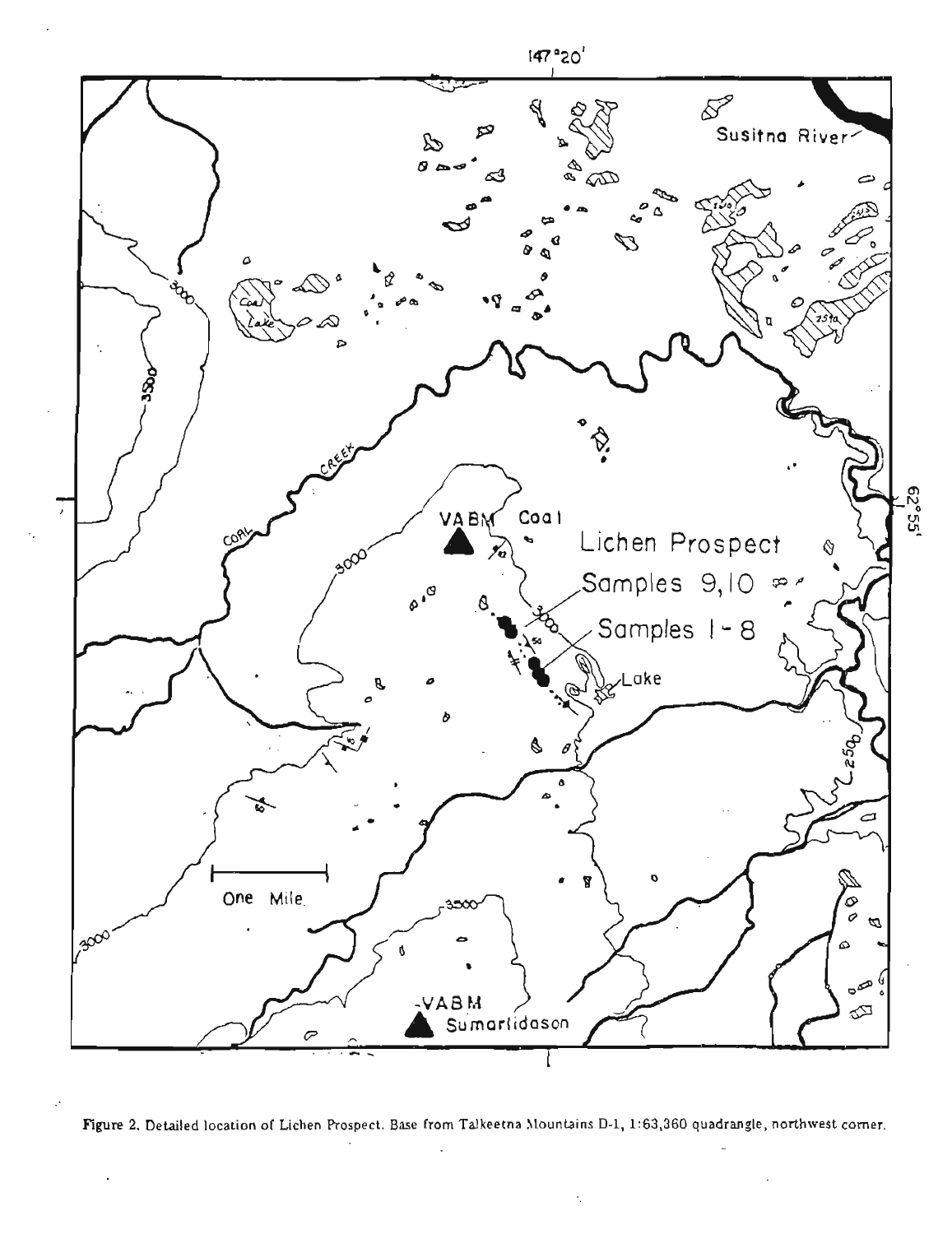

Figure 2. Detailed location of Lichen Prospect. Base from Talkeetna Mountains D-1, 1:63,360 quadrangle, northwest corner.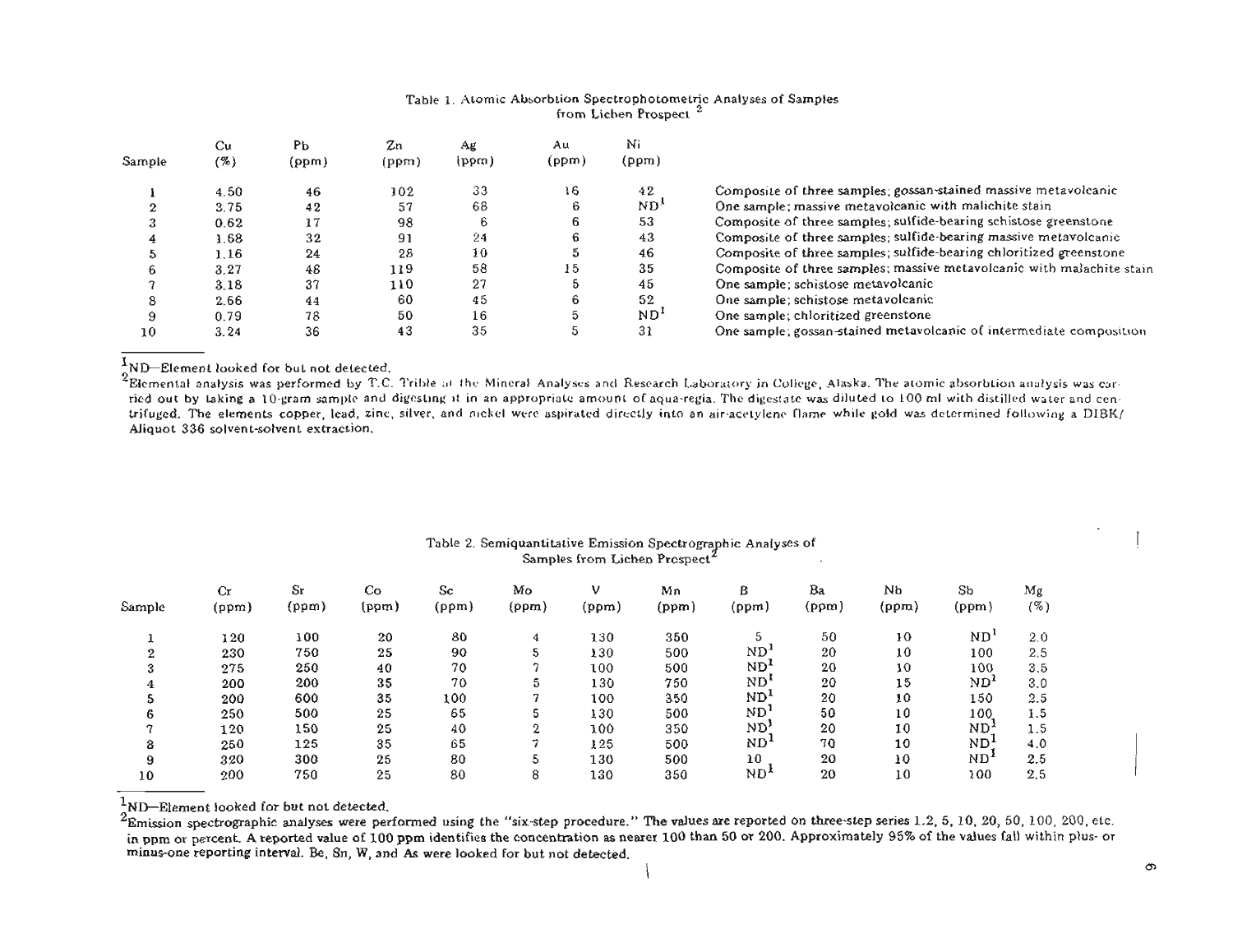#### **Table** I. **Alomic AbsorbLion Spectrophotarnetric Analyses of Samples From tichen Prospect**

|        | Cu   | Pь    | Zn    | AК      | Αu    | Nì              |                                                                       |
|--------|------|-------|-------|---------|-------|-----------------|-----------------------------------------------------------------------|
| Sample | (%)  | (ppm) | (ppm) | (ppm)   | (ppm) | (ppm)           |                                                                       |
|        | 4.50 | 46    | 102   | 33      | 16    | 42              | Composite of three samples; gossan-stained massive metavolcanic       |
|        | 3.75 | 42    | 57    | 68      |       | ND'             | One sample; massive metavolcanic with malichite stain                 |
|        | 0.62 | 17    | 98    | b       |       | 53              | Composite of three samples; sulfide-bearing schistose greenstone      |
|        | 1.68 | 32    | 91    | $^{24}$ |       | 43              | Composite of three samples; sulfide-bearing massive metavolcanic      |
|        | 1.16 | 24    | 28    | 10      |       | 46              | Composite of three samples; sulfide-bearing chloritized greenstone    |
|        | 3.27 | 48    | 119   | 58      | 15    | 35              | Composite of three samples; massive metavolcanic with malachite stain |
|        | 3.18 | 37    | 110   | 27      |       | 45              | One sample; schistose metavolcanic                                    |
|        | 2.66 | 44    | 60    | 45      |       | 52              | One sample; schistose metavolcanic                                    |
|        | 0.79 | 78    | 50    | 16      |       | ND <sup>1</sup> | One sample; chloritized greenstone                                    |
| 10     | 3.24 | 36    | 43    | 35      |       | 31              | One sample; gossan-stained metavolcanic of intermediate composition   |

 $^{1}$ ND-Element looked for but not detected.

<sup>2</sup>Elemental analysis was performed by T.C. Trible at the Mineral Analyses and Research Laboratory in College, Alaska. The atomic absorbtion analysis was carried out by taking a 10-gram sample and digesting it in an appropriate amount of aqua-regia. The digestate was diluted to 100 ml with distilled water and centrifuged. The elements copper, lead, zinc, silver, and nickel were aspirated directly into an air-acetylene flame while gold was determined following a DIBK/ **Aliquot 336 solventsdlvenl extraction.** 

| Table 2. Semiquantitative Emission Spectrographic Analyses of |  |
|---------------------------------------------------------------|--|
| Samples from Lichen Prospect <sup>2</sup>                     |  |
|                                                               |  |

| Sample       | Cr<br>(ppm) | Sr<br>(ppm) | Co<br>(ppm) | Sc<br>(ppm) | Mo<br>(ppm)  | (ppm) | Mn<br>(ppm) | В<br>(ppm)      | Ba<br>(ppm) | Nb<br>(ppm) | Sb<br>(ppm)     | Mg<br>$( \% )$ |
|--------------|-------------|-------------|-------------|-------------|--------------|-------|-------------|-----------------|-------------|-------------|-----------------|----------------|
|              | 120         | 100         | 20          | 80          | 4            | 130   | 350         |                 | 50          | 10          | ND <sup>1</sup> | 2.0            |
| $\mathbf{2}$ | 230         | 750         | 25          | 90          | 5            | 130   | 500         | ND <sub>1</sub> | 20          | 10          | 100             | 2.5            |
| 3            | 275         | 250         | 40          | 70          |              | 100   | 500         | ND <sub>r</sub> | 20          | 10          | 100             | 3.5            |
| 4            | 200         | 200         | 35          | 70          | 5            | 130   | 750         | ND <sup>L</sup> | 20          | 15          | ND <sup>1</sup> | 3.0            |
| ב            | 200         | 600         | 35          | 100         | n            | 100   | 350         | ND <sub>1</sub> | 20          | 10          | 150             | 2.5            |
| 6            | 250         | 500         | 25          | 65          |              | 130   | 500         | ND              | 50          | 10          | 100             | 1.5            |
| ኅ            | 120         | 150         | 25          | 40          | $\Omega$     | 100   | 350         | מא              | 20          | 10          | ND <sup>,</sup> | 1.5            |
| 8            | 250         | 125         | 35          | 65          |              | 125   | 500         | ND <sup>1</sup> | 70          | 10          | ND'             | 4.0            |
| 9            | 320         | 300         | 25          | 80          |              | 130   | 500         | 10              | 20          | 10          | ND <sup>2</sup> | 2.5            |
| 10           | 200         | 750         | 25          | 80          | $\circ$<br>ō | 130   | 350         | ND'             | 20          | 10          | 100             | 2.5            |

<sup>1</sup><sub>2</sub>MD-Element looked for but not detected.

2Emission spectrographic analyses were performed using the "six-step procedure." The values are reported on three-step series 1.2, 5, 10, 20, 50, 100, 200, etc. in ppm or percent. A reported value of 100 ppm identifies the concentration as nearer 100 than 50 or 200. Approximately 95% of the values fall within plus- or **minus-one reporting interval. Be, Sn, W, and As were looked For but not detected.**